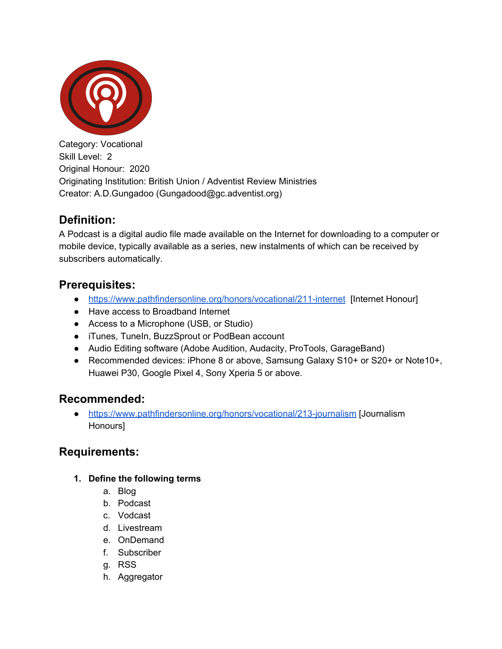

Category: Vocational Skill Level: 2 Original Honour: 2020 Originating Institution: British Union / Adventist Review Ministries Creator: A.D.Gungadoo (Gungadood@gc.adventist.org)

# **Definition:**

A Podcast is a digital audio file made available on the Internet for downloading to a computer or mobile device, typically available as a series, new instalments of which can be received by subscribers automatically.

### **Prerequisites:**

- <https://www.pathfindersonline.org/honors/vocational/211-internet> [Internet Honour]
- Have access to Broadband Internet
- Access to a Microphone (USB, or Studio)
- iTunes, TuneIn, BuzzSprout or PodBean account
- Audio Editing software (Adobe Audition, Audacity, ProTools, GarageBand)
- Recommended devices: iPhone 8 or above, Samsung Galaxy S10+ or S20+ or Note10+, Huawei P30, Google Pixel 4, Sony Xperia 5 or above.

## **Recommended:**

● <https://www.pathfindersonline.org/honors/vocational/213-journalism> [Journalism Honours]

## **Requirements:**

- **1. Define the following terms**
	- a. Blog
	- b. Podcast
	- c. Vodcast
	- d. Livestream
	- e. OnDemand
	- f. Subscriber
	- g. RSS
	- h. Aggregator